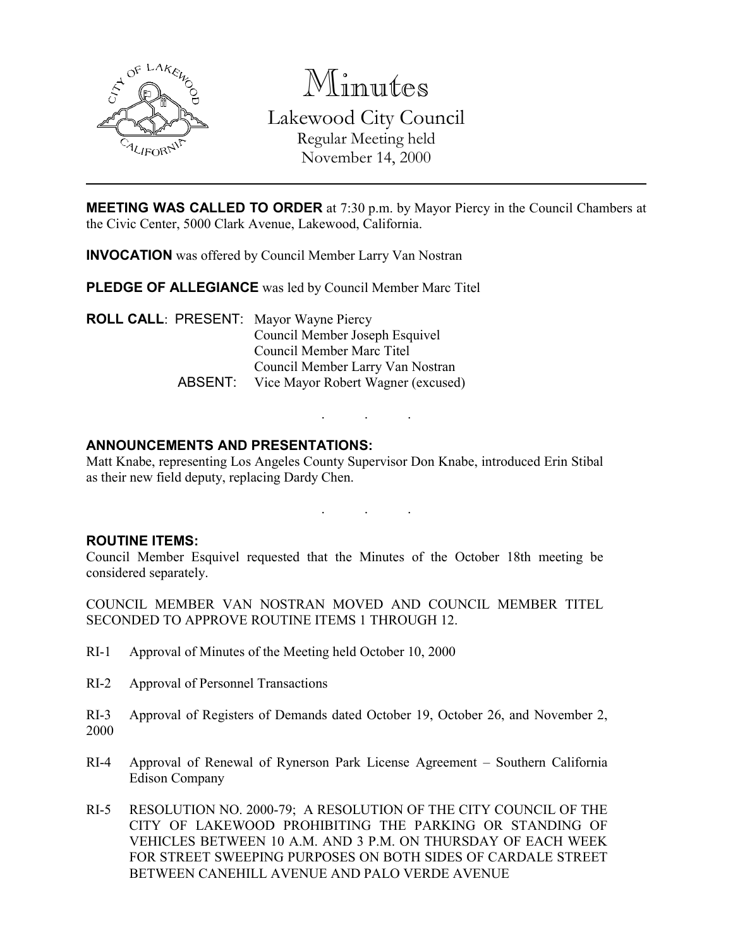

Minutes Lakewood City Council

Regular Meeting held November 14, 2000

**MEETING WAS CALLED TO ORDER** at 7:30 p.m. by Mayor Piercy in the Council Chambers at the Civic Center, 5000 Clark Avenue, Lakewood, California.

INVOCATION was offered by Council Member Larry Van Nostran

PLEDGE OF ALLEGIANCE was led by Council Member Marc Titel

ROLL CALL: PRESENT: Mayor Wayne Piercy Council Member Joseph Esquivel Council Member Marc Titel Council Member Larry Van Nostran ABSENT: Vice Mayor Robert Wagner (excused)

# ANNOUNCEMENTS AND PRESENTATIONS:

Matt Knabe, representing Los Angeles County Supervisor Don Knabe, introduced Erin Stibal as their new field deputy, replacing Dardy Chen.

. . .

. . .

### ROUTINE ITEMS:

Council Member Esquivel requested that the Minutes of the October 18th meeting be considered separately.

COUNCIL MEMBER VAN NOSTRAN MOVED AND COUNCIL MEMBER TITEL SECONDED TO APPROVE ROUTINE ITEMS 1 THROUGH 12.

- RI-1 Approval of Minutes of the Meeting held October 10, 2000
- RI-2 Approval of Personnel Transactions
- RI-3 Approval of Registers of Demands dated October 19, October 26, and November 2, 2000
- RI-4 Approval of Renewal of Rynerson Park License Agreement Southern California Edison Company
- RI-5 RESOLUTION NO. 2000-79; A RESOLUTION OF THE CITY COUNCIL OF THE CITY OF LAKEWOOD PROHIBITING THE PARKING OR STANDING OF VEHICLES BETWEEN 10 A.M. AND 3 P.M. ON THURSDAY OF EACH WEEK FOR STREET SWEEPING PURPOSES ON BOTH SIDES OF CARDALE STREET BETWEEN CANEHILL AVENUE AND PALO VERDE AVENUE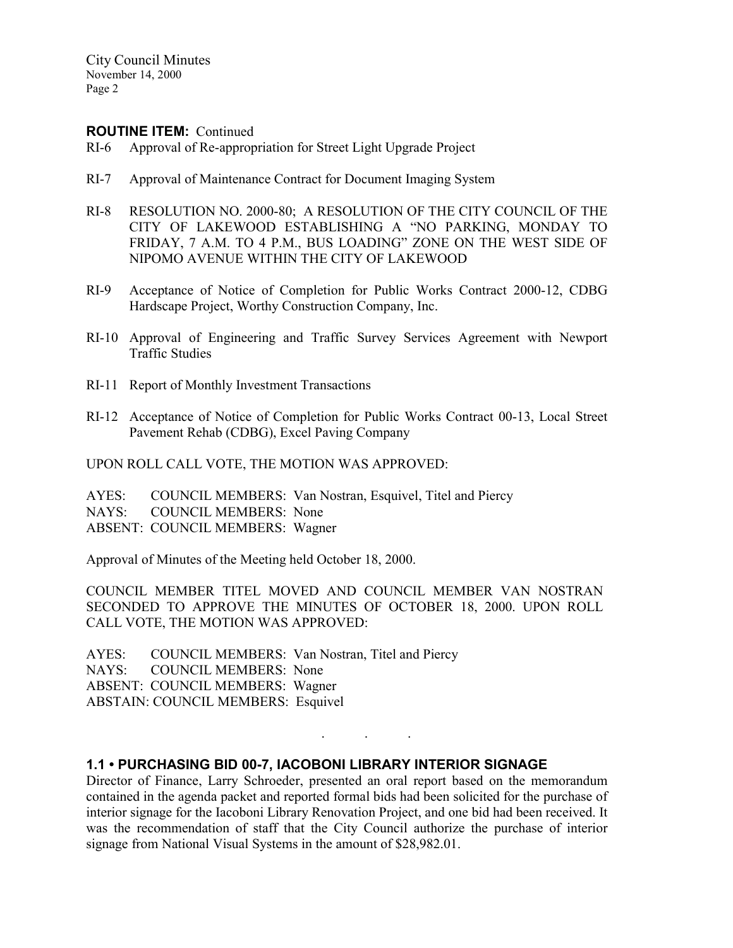City Council Minutes November 14, 2000 Page 2

#### ROUTINE ITEM: Continued

- RI-6 Approval of Re-appropriation for Street Light Upgrade Project
- RI-7 Approval of Maintenance Contract for Document Imaging System
- RI-8 RESOLUTION NO. 2000-80; A RESOLUTION OF THE CITY COUNCIL OF THE CITY OF LAKEWOOD ESTABLISHING A "NO PARKING, MONDAY TO FRIDAY, 7 A.M. TO 4 P.M., BUS LOADING" ZONE ON THE WEST SIDE OF NIPOMO AVENUE WITHIN THE CITY OF LAKEWOOD
- RI-9 Acceptance of Notice of Completion for Public Works Contract 2000-12, CDBG Hardscape Project, Worthy Construction Company, Inc.
- RI-10 Approval of Engineering and Traffic Survey Services Agreement with Newport Traffic Studies
- RI-11 Report of Monthly Investment Transactions
- RI-12 Acceptance of Notice of Completion for Public Works Contract 00-13, Local Street Pavement Rehab (CDBG), Excel Paving Company

UPON ROLL CALL VOTE, THE MOTION WAS APPROVED:

AYES: COUNCIL MEMBERS: Van Nostran, Esquivel, Titel and Piercy NAYS: COUNCIL MEMBERS: None ABSENT: COUNCIL MEMBERS: Wagner

Approval of Minutes of the Meeting held October 18, 2000.

COUNCIL MEMBER TITEL MOVED AND COUNCIL MEMBER VAN NOSTRAN SECONDED TO APPROVE THE MINUTES OF OCTOBER 18, 2000. UPON ROLL CALL VOTE, THE MOTION WAS APPROVED:

AYES: COUNCIL MEMBERS: Van Nostran, Titel and Piercy NAYS: COUNCIL MEMBERS: None ABSENT: COUNCIL MEMBERS: Wagner ABSTAIN: COUNCIL MEMBERS: Esquivel

#### 1.1 • PURCHASING BID 00-7, IACOBONI LIBRARY INTERIOR SIGNAGE

Director of Finance, Larry Schroeder, presented an oral report based on the memorandum contained in the agenda packet and reported formal bids had been solicited for the purchase of interior signage for the Iacoboni Library Renovation Project, and one bid had been received. It was the recommendation of staff that the City Council authorize the purchase of interior signage from National Visual Systems in the amount of \$28,982.01.

. . .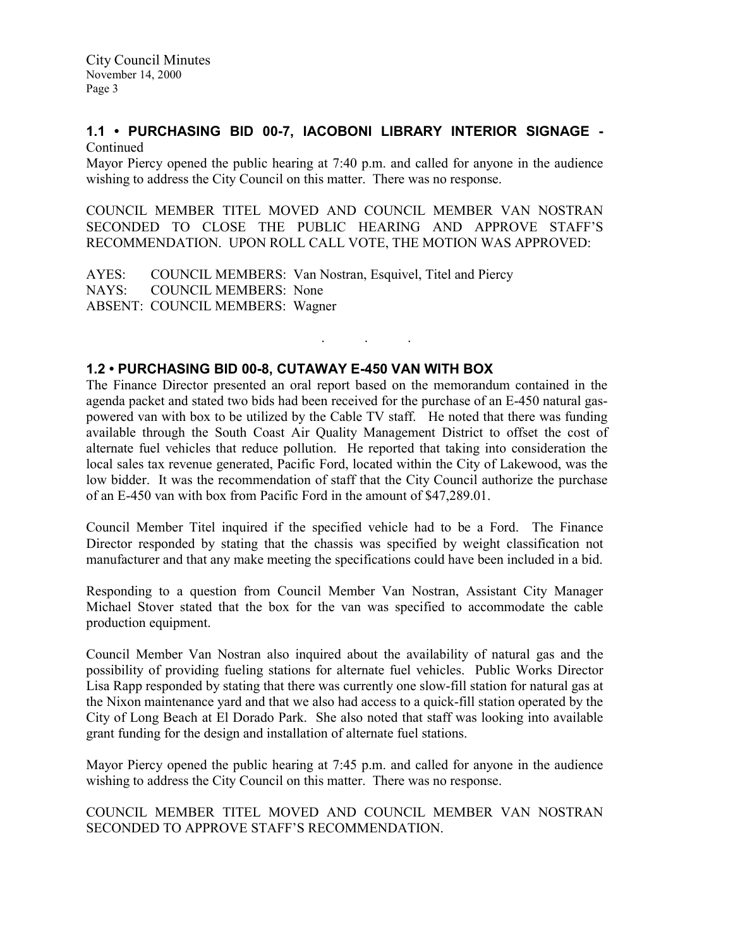#### 1.1 • PURCHASING BID 00-7, IACOBONI LIBRARY INTERIOR SIGNAGE - Continued

Mayor Piercy opened the public hearing at 7:40 p.m. and called for anyone in the audience wishing to address the City Council on this matter. There was no response.

COUNCIL MEMBER TITEL MOVED AND COUNCIL MEMBER VAN NOSTRAN SECONDED TO CLOSE THE PUBLIC HEARING AND APPROVE STAFF'S RECOMMENDATION. UPON ROLL CALL VOTE, THE MOTION WAS APPROVED:

AYES: COUNCIL MEMBERS: Van Nostran, Esquivel, Titel and Piercy<br>NAYS: COUNCIL MEMBERS: None COUNCIL MEMBERS: None ABSENT: COUNCIL MEMBERS: Wagner

### 1.2 • PURCHASING BID 00-8, CUTAWAY E-450 VAN WITH BOX

The Finance Director presented an oral report based on the memorandum contained in the agenda packet and stated two bids had been received for the purchase of an E-450 natural gaspowered van with box to be utilized by the Cable TV staff. He noted that there was funding available through the South Coast Air Quality Management District to offset the cost of alternate fuel vehicles that reduce pollution. He reported that taking into consideration the local sales tax revenue generated, Pacific Ford, located within the City of Lakewood, was the low bidder. It was the recommendation of staff that the City Council authorize the purchase of an E-450 van with box from Pacific Ford in the amount of \$47,289.01.

. . .

Council Member Titel inquired if the specified vehicle had to be a Ford. The Finance Director responded by stating that the chassis was specified by weight classification not manufacturer and that any make meeting the specifications could have been included in a bid.

Responding to a question from Council Member Van Nostran, Assistant City Manager Michael Stover stated that the box for the van was specified to accommodate the cable production equipment.

Council Member Van Nostran also inquired about the availability of natural gas and the possibility of providing fueling stations for alternate fuel vehicles. Public Works Director Lisa Rapp responded by stating that there was currently one slow-fill station for natural gas at the Nixon maintenance yard and that we also had access to a quick-fill station operated by the City of Long Beach at El Dorado Park. She also noted that staff was looking into available grant funding for the design and installation of alternate fuel stations.

Mayor Piercy opened the public hearing at 7:45 p.m. and called for anyone in the audience wishing to address the City Council on this matter. There was no response.

COUNCIL MEMBER TITEL MOVED AND COUNCIL MEMBER VAN NOSTRAN SECONDED TO APPROVE STAFF'S RECOMMENDATION.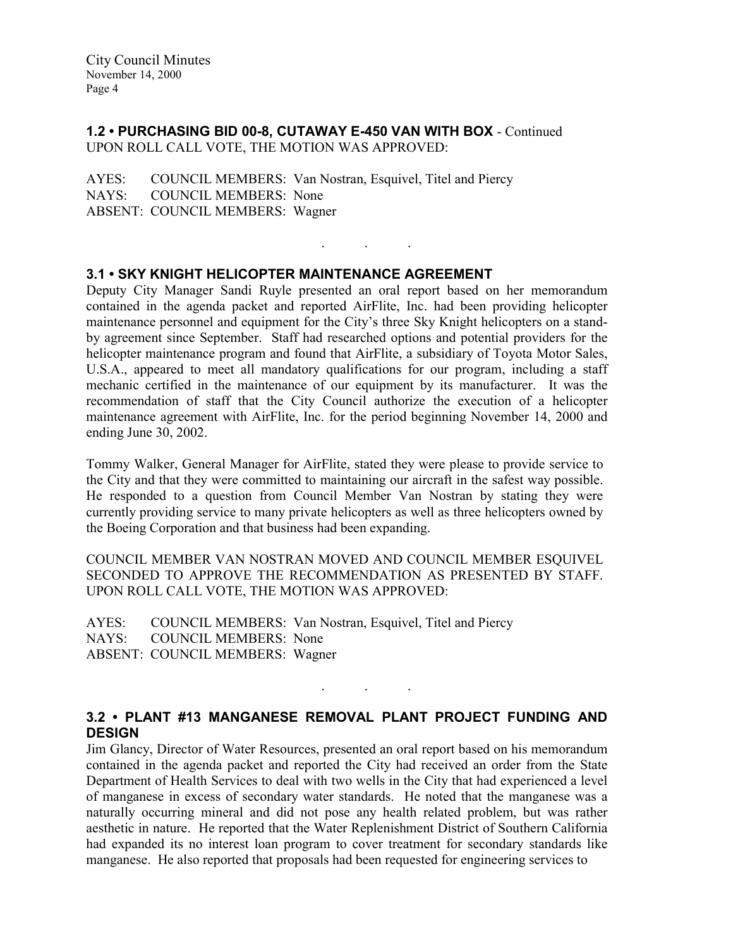### 1.2 • PURCHASING BID 00-8, CUTAWAY E-450 VAN WITH BOX - Continued UPON ROLL CALL VOTE, THE MOTION WAS APPROVED:

AYES: COUNCIL MEMBERS: Van Nostran, Esquivel, Titel and Piercy NAYS: COUNCIL MEMBERS: None ABSENT: COUNCIL MEMBERS: Wagner

# 3.1 • SKY KNIGHT HELICOPTER MAINTENANCE AGREEMENT

Deputy City Manager Sandi Ruyle presented an oral report based on her memorandum contained in the agenda packet and reported AirFlite, Inc. had been providing helicopter maintenance personnel and equipment for the City's three Sky Knight helicopters on a standby agreement since September. Staff had researched options and potential providers for the helicopter maintenance program and found that AirFlite, a subsidiary of Toyota Motor Sales, U.S.A., appeared to meet all mandatory qualifications for our program, including a staff mechanic certified in the maintenance of our equipment by its manufacturer. It was the recommendation of staff that the City Council authorize the execution of a helicopter maintenance agreement with AirFlite, Inc. for the period beginning November 14, 2000 and ending June 30, 2002.

. . .

Tommy Walker, General Manager for AirFlite, stated they were please to provide service to the City and that they were committed to maintaining our aircraft in the safest way possible. He responded to a question from Council Member Van Nostran by stating they were currently providing service to many private helicopters as well as three helicopters owned by the Boeing Corporation and that business had been expanding.

COUNCIL MEMBER VAN NOSTRAN MOVED AND COUNCIL MEMBER ESQUIVEL SECONDED TO APPROVE THE RECOMMENDATION AS PRESENTED BY STAFF. UPON ROLL CALL VOTE, THE MOTION WAS APPROVED:

AYES: COUNCIL MEMBERS: Van Nostran, Esquivel, Titel and Piercy NAYS: COUNCIL MEMBERS: None ABSENT: COUNCIL MEMBERS: Wagner

# 3.2 • PLANT #13 MANGANESE REMOVAL PLANT PROJECT FUNDING AND **DESIGN**

. . .

Jim Glancy, Director of Water Resources, presented an oral report based on his memorandum contained in the agenda packet and reported the City had received an order from the State Department of Health Services to deal with two wells in the City that had experienced a level of manganese in excess of secondary water standards. He noted that the manganese was a naturally occurring mineral and did not pose any health related problem, but was rather aesthetic in nature. He reported that the Water Replenishment District of Southern California had expanded its no interest loan program to cover treatment for secondary standards like manganese. He also reported that proposals had been requested for engineering services to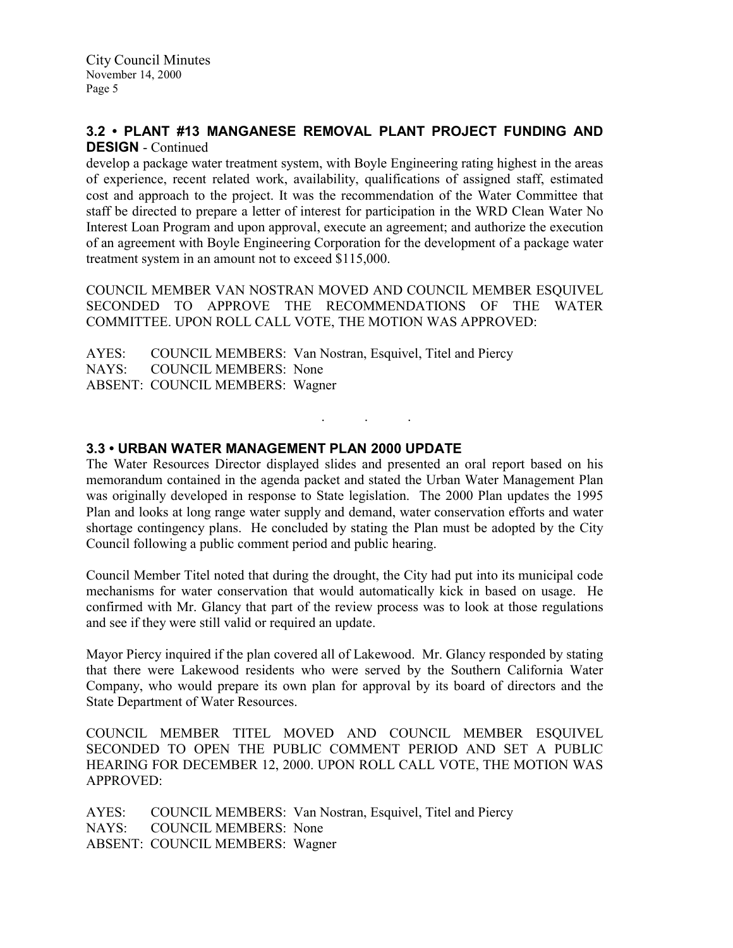### 3.2 • PLANT #13 MANGANESE REMOVAL PLANT PROJECT FUNDING AND DESIGN - Continued

develop a package water treatment system, with Boyle Engineering rating highest in the areas of experience, recent related work, availability, qualifications of assigned staff, estimated cost and approach to the project. It was the recommendation of the Water Committee that staff be directed to prepare a letter of interest for participation in the WRD Clean Water No Interest Loan Program and upon approval, execute an agreement; and authorize the execution of an agreement with Boyle Engineering Corporation for the development of a package water treatment system in an amount not to exceed \$115,000.

COUNCIL MEMBER VAN NOSTRAN MOVED AND COUNCIL MEMBER ESQUIVEL SECONDED TO APPROVE THE RECOMMENDATIONS OF THE WATER COMMITTEE. UPON ROLL CALL VOTE, THE MOTION WAS APPROVED:

AYES: COUNCIL MEMBERS: Van Nostran, Esquivel, Titel and Piercy NAYS: COUNCIL MEMBERS: None ABSENT: COUNCIL MEMBERS: Wagner

# 3.3 • URBAN WATER MANAGEMENT PLAN 2000 UPDATE

The Water Resources Director displayed slides and presented an oral report based on his memorandum contained in the agenda packet and stated the Urban Water Management Plan was originally developed in response to State legislation. The 2000 Plan updates the 1995 Plan and looks at long range water supply and demand, water conservation efforts and water shortage contingency plans. He concluded by stating the Plan must be adopted by the City Council following a public comment period and public hearing.

. . .

Council Member Titel noted that during the drought, the City had put into its municipal code mechanisms for water conservation that would automatically kick in based on usage. He confirmed with Mr. Glancy that part of the review process was to look at those regulations and see if they were still valid or required an update.

Mayor Piercy inquired if the plan covered all of Lakewood. Mr. Glancy responded by stating that there were Lakewood residents who were served by the Southern California Water Company, who would prepare its own plan for approval by its board of directors and the State Department of Water Resources.

COUNCIL MEMBER TITEL MOVED AND COUNCIL MEMBER ESQUIVEL SECONDED TO OPEN THE PUBLIC COMMENT PERIOD AND SET A PUBLIC HEARING FOR DECEMBER 12, 2000. UPON ROLL CALL VOTE, THE MOTION WAS APPROVED:

AYES: COUNCIL MEMBERS: Van Nostran, Esquivel, Titel and Piercy NAYS: COUNCIL MEMBERS: None ABSENT: COUNCIL MEMBERS: Wagner